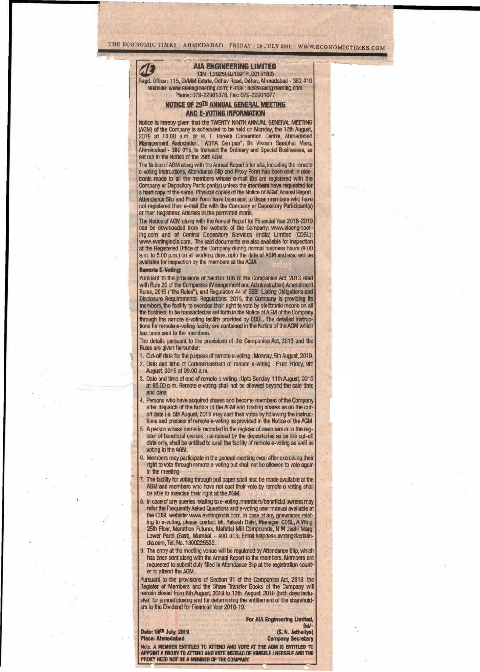# THE ECONOMIC TIMES | AHMEDABAD | FRIDAY | 19 JULY 2019 | WWW.ECONOMICTIMES.COM

## AlA ENGINEERING LIMITED

(CIN: L29259GJ1991PLC015182) Regd. OffIce: 115,GVMM Estate, Odhav Road, Odhav,Ahmedabad - 382 410 Website: www.aiaengineering.com; E-mail: ric@aiaengineering.com Phone: 079-22901078, Fax: 079-22901077

### NOTICE OF 29TH ANNUAL GENERAL MEETING AND E-VOTING INFORMATION

Notice is hereby given that the TWENTY NINTH ANNUAL GENERAL MEETING (AGM) of the Company is scheduled to be held on Monday, the 12th August, 2019 at 10.00 a.m. at H. T. Parekh Convention Centre, Ahmedabad Management Association, "ATIRA campus", Dr. Vikram Sarabhai Marg, Ahmedabad - 380 015, to transact the Ordinary and Special Businesses, as set out in the Notice of the 29th AGM.

The Notice of AGM along with the Annual Report inter alia, including the remote e-voting instructions, Attendance Slip and Proxy Form has been sent in electronic mode to all the members whose e-mail IDs are registered with the Company or Depository Participant(s) unless the members hays requested for a hard copy of the same. Physical copies of the Notice of AGM, Annual Report, Attendance Slip and Proxy Form have been sent to those members who have not registered their e-mail IDs with the Company or Depository Participant(s) at their Registered Address in the permitted mode.

The Notice of AGM along with the Annual Report for Financial Year 2018-2019 can be downloaded from the website of the Company: www.aiaengineering.com and of Central Depository Services (India) Limited (CDSl): [www.evotingindia.com.](http://www.evotingindia.com.) The said documents are also available for inspection at the Registered Office of the Company during normal business hours (9.00 a.m. to 5.00 p.m.) on all working days, upto the date of AGM and also will be available for inspection by the members at the AGM.

Remote E-Voting:

61

*.:*

Pursuant to the provisions of Section 108 of the Companies Act, 2013 read with Rule 20 of the Companies (Management and Administration) Amendment Rules, 2015 ("the Rules"), and Regulation 44 of SEBI (listing Obligations and Disclosure Requirements) Regulations, 2015, the Company is providing its members, the facility to exercise their right to vote by electronic means on all the business to be transacted as set forth in the Notice of AGM of the Company through the remote e-voting facility provided by CDSL. The detailed instructions for remote e-voting facility are contained in the Notice of the AGM which has been sent to the members.

The details pursuant to the provisions of the Companies Act, 2013 and the Rules are given hereunder:

- 1. Cut-off date for the purpose of remote e-voting : Monday, 5th August, 2019.
- 2. Date and time of Commencement of remote e-voting : From Friday, 9th August, 2019 at 09.00 am.
- 3. Date and time of end of remote e-voting : Upto Sunday, 11th August, 2019 at 05.00 p.m. Remote e-voting shall not be allowed beyond the said time and date
- 4. Persons who have acquired shares and become members of the Company after dispatch of the Notice of the AGM and holding shares as on the cutoff date i.e. 5th August, 2019 may cast their votes by following the instructions and process of remote e-voting as provided in the Notice of the AGM.
- 5. A person whose name is recorded in the register of members or in the register of beneficial owners maintained by the depositories as on the cut-off date only, shall be entitled to avail the facility of remote e-voting as well as voting in the AGM.
- 6. Members may participate in the general meeting even after exercising their right to vote through remote e-voting but shall not be allowed to vote again in the meeting.
- The facility for voting through poll paper shall also be made available at the AGM and members who have not cast their vote by remote e-voting shall be able to exercise their right at the AGM.
- 8. In case of any queries relating to e-voting, members/beneficial owners may refer the Frequently Asked Questions and e-voting user manual available at the CDSL website: [www.evotingindia.com.](http://www.evotingindia.com.) In case of any grievances relating to e-voting, please contact Mr. Rakesh Dalvi, Manager, CDSL, A Wing, 25th Floor, Marathon Futurex, Mafatlal Mill Compounds, N M Joshi Marg, Lower Parel (East), Mumbai - 400 013; Email:helpdesk.evoting@cdslindia.com, Tel. No. 1800225533.
- 9: The entry at the meeting venue will be regulated by Attendance Slip, which has been sent along with the Annual Report to the members. Members are requested to submit duly filled in Attendance Slip at the registration counter to attend the AGM.

Pursuant to the provisions of Section 91 of the Companies Act, 2013, the Register of Members and the Share Transfer Books of the Company will remain closed from 6th August, 2019 to 12th August, 2019 (both days inolusive) for annual closing and for determining the entitlement of the shareholders to the Dividend for Financial Year 2018-19.

**For AIA Engineering Limited,** 

Sd/-<br>(S. N. Jetheliya) **Company Secretary** 

Note: A MEMBER ENTITLED TO ATTEND AND VOTE AT THE AGM IS ENTITLED TO<br>APPOINT A PROXY TO ATTEND AND VOTE INSTEAD OF HIMSELF / HERSELF AND THE PROXY NEED NOT BE A MEMBER OF THE COMPANY.

Date: 18<sup>th</sup> July, 2019<br>Place: Ahmedabad